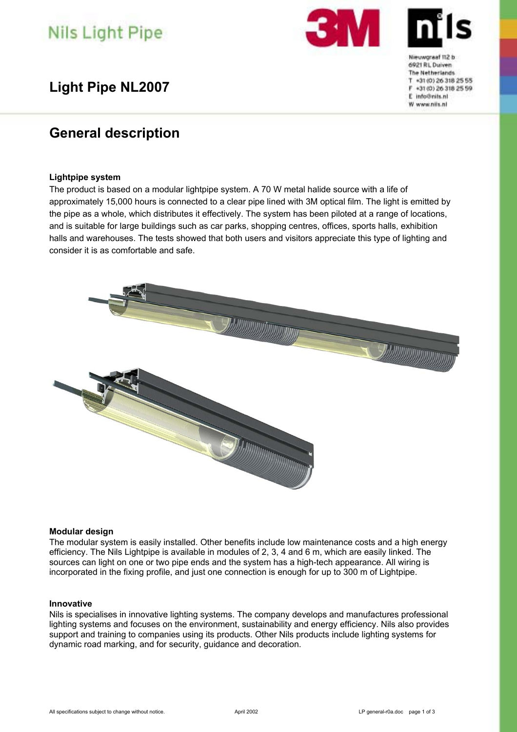# **Nils Light Pipe**

### **Light Pipe NL2007**

### **General description**

#### **Lightpipe system**

The product is based on a modular lightpipe system. A 70 W metal halide source with a life of approximately 15,000 hours is connected to a clear pipe lined with 3M optical film. The light is emitted by the pipe as a whole, which distributes it effectively. The system has been piloted at a range of locations, and is suitable for large buildings such as car parks, shopping centres, offices, sports halls, exhibition halls and warehouses. The tests showed that both users and visitors appreciate this type of lighting and consider it is as comfortable and safe.



#### **Modular design**

The modular system is easily installed. Other benefits include low maintenance costs and a high energy efficiency. The Nils Lightpipe is available in modules of 2, 3, 4 and 6 m, which are easily linked. The sources can light on one or two pipe ends and the system has a high-tech appearance. All wiring is incorporated in the fixing profile, and just one connection is enough for up to 300 m of Lightpipe.

#### **Innovative**

Nils is specialises in innovative lighting systems. The company develops and manufactures professional lighting systems and focuses on the environment, sustainability and energy efficiency. Nils also provides support and training to companies using its products. Other Nils products include lighting systems for dynamic road marking, and for security, guidance and decoration.

Nieuworsef 112 b 6021 BL Duiven The Netherlands T +31 (0) 26 318 25 55 F +31 (0) 26 318 25 59 E info@nits.nl W www.niis.nl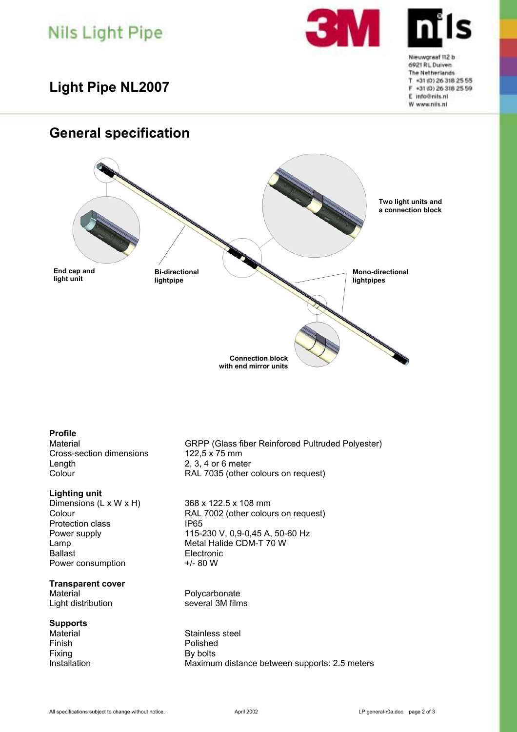# **Nils Light Pipe**

**Light Pipe NL2007** 

### **General specification**



## **Profile**

Cross-section dimensions Length 2, 3, 4 or 6 meter

#### **Lighting unit**

Dimensions (L x W x H) 368 x 122.5 x 108 mm<br>Colour RAL 7002 (other colou Protection class Ballast **Electronic** Power consumption  $+/- 80 W$ 

#### **Transparent cover**

Material **Material**<br>
Light distribution **Accord Exercic SCS**<br>
Several 3M films Light distribution

#### **Supports**

Finish Polished Fixing By bolts

GRPP (Glass fiber Reinforced Pultruded Polyester)<br>122.5 x 75 mm Colour RAL 7035 (other colours on request)

RAL 7002 (other colours on request)<br>IP65 Power supply 115-230 V, 0,9-0,45 A, 50-60 Hz Lamp **Metal Halide CDM-T 70 W** 

Material Material Stainless steel Installation Maximum distance between supports: 2.5 meters Nieuworaef 112 b 6921 RL Duiven The Netherlands T +31 (0) 26 318 25 55 F +31 (0) 26 318 25 59 E info@nits.nl W www.niis.nl